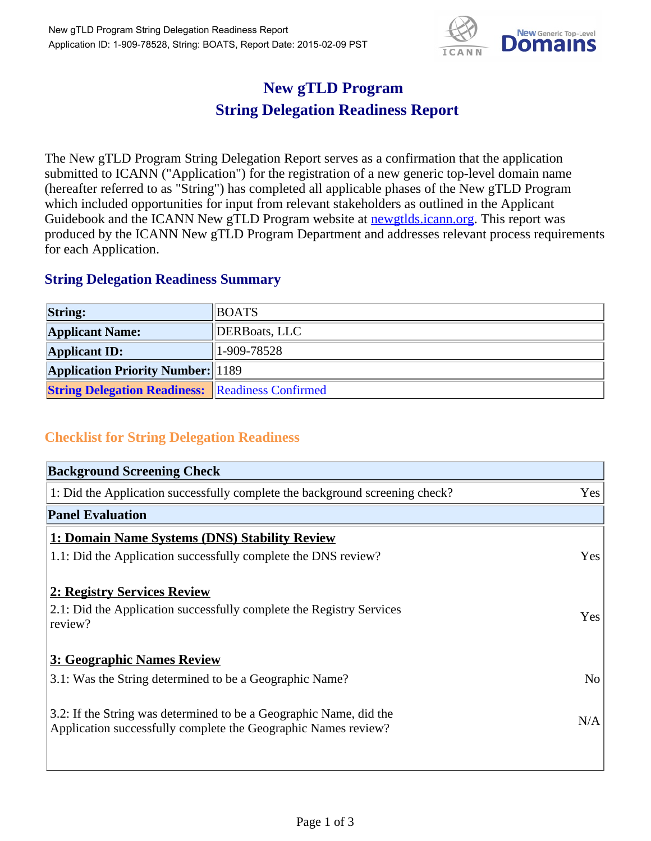

## **New gTLD Program String Delegation Readiness Report**

The New gTLD Program String Delegation Report serves as a confirmation that the application submitted to ICANN ("Application") for the registration of a new generic top-level domain name (hereafter referred to as "String") has completed all applicable phases of the New gTLD Program which included opportunities for input from relevant stakeholders as outlined in the Applicant Guidebook and the ICANN New gTLD Program website at newgtlds.icann.org. This report was produced by the ICANN New gTLD Program Department and addresses relevant process requirements for each Application.

## **String Delegation Readiness Summary**

| <b>String:</b>                                          | <b>BOATS</b>  |
|---------------------------------------------------------|---------------|
| <b>Applicant Name:</b>                                  | DERBoats, LLC |
| <b>Applicant ID:</b>                                    | $1-909-78528$ |
| <b>Application Priority Number:</b> 1189                |               |
| <b>String Delegation Readiness:</b> Readiness Confirmed |               |

## **Checklist for String Delegation Readiness**

| <b>Background Screening Check</b>                                               |                |
|---------------------------------------------------------------------------------|----------------|
| 1: Did the Application successfully complete the background screening check?    | Yes            |
| <b>Panel Evaluation</b>                                                         |                |
| 1: Domain Name Systems (DNS) Stability Review                                   |                |
| 1.1: Did the Application successfully complete the DNS review?                  | Yes            |
| 2: Registry Services Review                                                     |                |
|                                                                                 |                |
| 2.1: Did the Application successfully complete the Registry Services<br>review? | <b>Yes</b>     |
|                                                                                 |                |
| 3: Geographic Names Review                                                      |                |
| 3.1: Was the String determined to be a Geographic Name?                         | N <sub>0</sub> |
| 3.2: If the String was determined to be a Geographic Name, did the              |                |
| Application successfully complete the Geographic Names review?                  | N/A            |
|                                                                                 |                |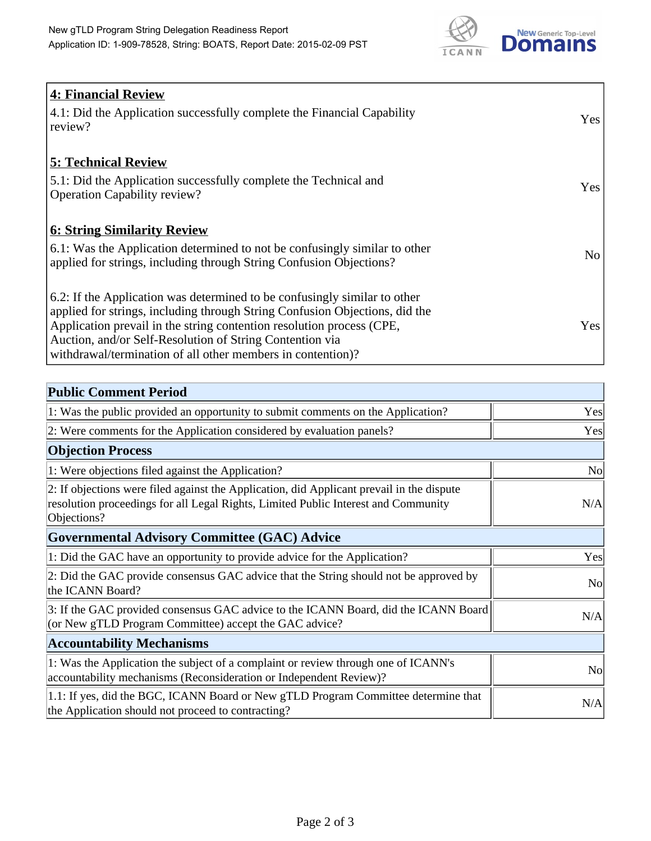

| 4: Financial Review                                                                |            |
|------------------------------------------------------------------------------------|------------|
| $\vert$ 4.1: Did the Application successfully complete the Financial Capability    | Yes        |
| review?                                                                            |            |
| <b>5: Technical Review</b>                                                         |            |
| 5.1: Did the Application successfully complete the Technical and                   | <b>Yes</b> |
| <b>Operation Capability review?</b>                                                |            |
|                                                                                    |            |
| <b>6: String Similarity Review</b>                                                 |            |
| $\vert$ 6.1: Was the Application determined to not be confusingly similar to other | No         |
| applied for strings, including through String Confusion Objections?                |            |
| 6.2: If the Application was determined to be confusingly similar to other          |            |
| applied for strings, including through String Confusion Objections, did the        |            |
| Application prevail in the string contention resolution process (CPE,              | Yes        |
| Auction, and/or Self-Resolution of String Contention via                           |            |
| withdrawal/termination of all other members in contention)?                        |            |

| <b>Public Comment Period</b>                                                                                                                                                                   |                |
|------------------------------------------------------------------------------------------------------------------------------------------------------------------------------------------------|----------------|
| 1: Was the public provided an opportunity to submit comments on the Application?                                                                                                               | Yes            |
| 2: Were comments for the Application considered by evaluation panels?                                                                                                                          | Yes            |
| <b>Objection Process</b>                                                                                                                                                                       |                |
| 1: Were objections filed against the Application?                                                                                                                                              | N <sub>o</sub> |
| 2: If objections were filed against the Application, did Applicant prevail in the dispute<br>resolution proceedings for all Legal Rights, Limited Public Interest and Community<br>Objections? | N/A            |
| Governmental Advisory Committee (GAC) Advice                                                                                                                                                   |                |
| 1: Did the GAC have an opportunity to provide advice for the Application?                                                                                                                      | Yes            |
| 2: Did the GAC provide consensus GAC advice that the String should not be approved by<br>the ICANN Board?                                                                                      | N <sub>o</sub> |
| 3: If the GAC provided consensus GAC advice to the ICANN Board, did the ICANN Board<br>(or New gTLD Program Committee) accept the GAC advice?                                                  | N/A            |
| <b>Accountability Mechanisms</b>                                                                                                                                                               |                |
| 1: Was the Application the subject of a complaint or review through one of ICANN's<br>accountability mechanisms (Reconsideration or Independent Review)?                                       | N <sub>0</sub> |
| 1.1: If yes, did the BGC, ICANN Board or New gTLD Program Committee determine that<br>the Application should not proceed to contracting?                                                       | N/A            |